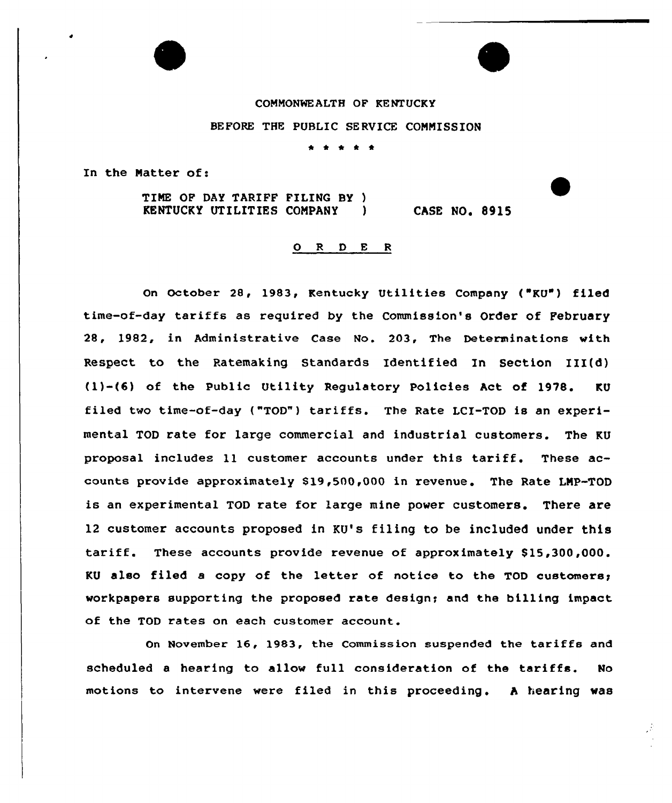# CONNONWEALTH OF KENTUCKY BEFORE THE PUBLIC SERVICE CONNISSION

\* \* \* \*

In the Natter of:

TIME OF DAY TARIFF FILING BY )<br>KENTUCKY UTILITIES COMPANY ) KENTUCKY UTILITIES CONPANY ) CASE NO. 8915

## ORDER

On October 28, 1983, Kentucky Utilities Company ("KU") filed time-of-day tariffs as required by the Commission's Order of February 28, 1982, in Administrative Case No. 203, The Determinations with Respect to the Patemaking Standards Identified In Section III(d) (1)-(6) of the Public Utility Regulatory Policies Act of 1978. KU filed two time-of-day ("TOD") tariffs. The Rate LCI-TOD is an experimental TOD rate for large commercial and industrial customers. The KU proposal includes ll customer accounts under this tariff. These accounts provide approximately \$19,500,000 in revenue. The Rate LMP-TOD is an experimental TOD rate for large mine power customers. There are 12 customer accounts proposed in KU's filing to be included under this tariff. These accounts provide revenue of approximately \$15,300,000. KU also filed a copy of the letter of notice to the TOD customers; workpapers supporting the proposed rate design; and the billing impact of the TOD rates on each customer account.

On November 16, 1983, the Commission suspended the tariffs and scheduled <sup>a</sup> hearing to allow full consideration of the tariffs. No motions to intervene were filed in this proceeding. A hearing was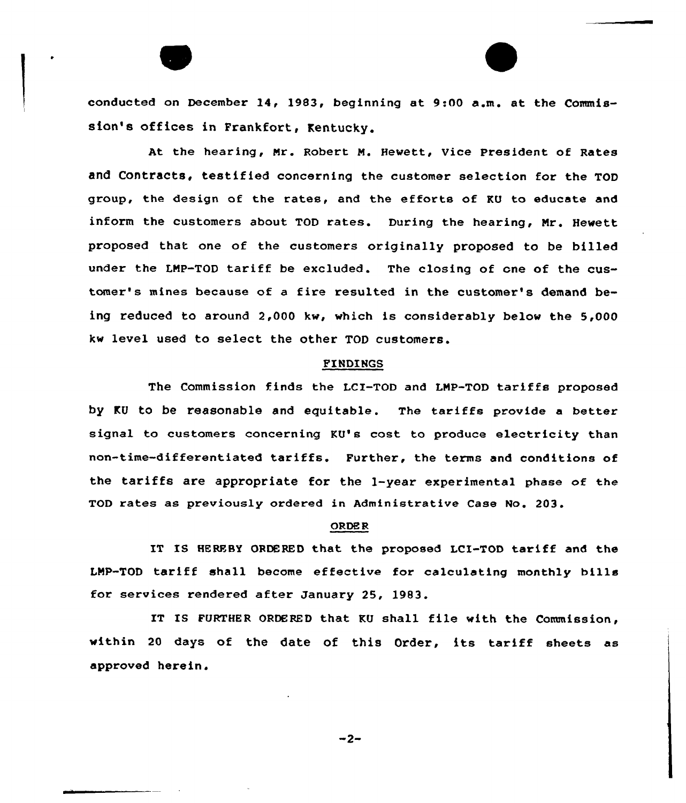conducted on December 14, 1983, beginning at 9:00 a.m. at the Commission's offices in Frankfort, Kentucky.

At the hearing, Nr. Robert N. Hewett, Vice President of Rates and Contracts, testified concerning the customer selection for the TOD group, the design of the rates, and the efforts of KU to educate and inform the customers about TOD rates. During the hearing, Nr. Hewett proposed that one of the customers originally proposed to be billed under the LMP-TOD tariff be excluded. The closing of one of the customer's mines because of a fire resulted in the customer's demand being reduced to around 2,000 kw, which is considerably below the 5,000 kw level used to select the other TOD customers.

#### FINDINGS

The Commission finds the LCI-TOD and LNP-TOD tariffs proposed by KU to be reasonable and equitable. The tariffs provide a better signal to customers concerning KU's cost to produce electricity than non-time-differentiated tariffs. Further, the terms and conditions of the tariffs are appropriate for the 1-year experimental phase of the TOD rates as previously ordered in Administrative Case No. 203.

### ORDE R

IT IS HEREBY ORDERED that the proposed LCI-TOD tariff and the LNP-TOD tariff shall become effective for calculating monthly bills for services rendered after January 25, 1983.

IT IS FURTHER ORDERED that KU shall file with the Commission, within <sup>20</sup> days of the date of this Order, its tariff sheets as approved herein.

 $-2-$